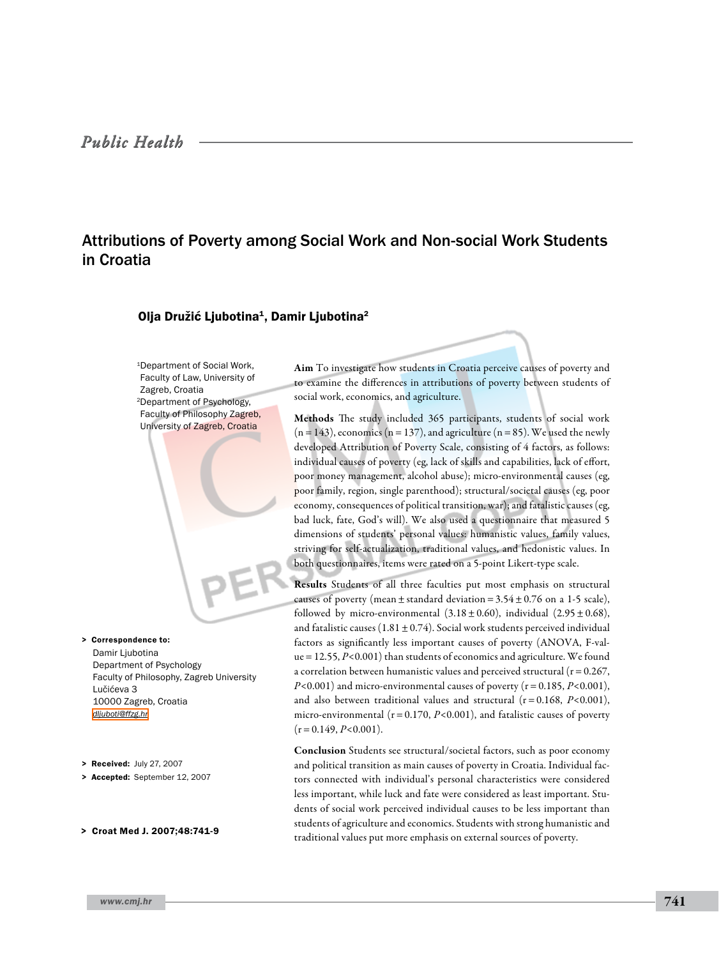# Attributions of Poverty among Social Work and Non-social Work Students in Croatia

# Olja Družić Ljubotina<sup>1</sup>, Damir Ljubotina<sup>2</sup>

1Department of Social Work, Faculty of Law, University of Zagreb, Croatia 2Department of Psychology, Faculty of Philosophy Zagreb, University of Zagreb, Croatia

Damir Ljubotina Department of Psychology Faculty of Philosophy, Zagreb University Lučićeva 3 10000 Zagreb, Croatia *[dljuboti@ffzg.hr](mailto: dljuboti@ffzg.hr )* > Correspondence to:

- > Received: July 27, 2007
- > Accepted: September 12, 2007
- > Croat Med J. 2007;48:741-9

Aim To investigate how students in Croatia perceive causes of poverty and to examine the differences in attributions of poverty between students of social work, economics, and agriculture.

Methods The study included 365 participants, students of social work  $(n=143)$ , economics  $(n=137)$ , and agriculture  $(n=85)$ . We used the newly developed Attribution of Poverty Scale, consisting of 4 factors, as follows: individual causes of poverty (eg, lack of skills and capabilities, lack of effort, poor money management, alcohol abuse); micro-environmental causes (eg, poor family, region, single parenthood); structural/societal causes (eg, poor economy, consequences of political transition, war); and fatalistic causes (eg, bad luck, fate, God's will). We also used a questionnaire that measured 5 dimensions of students' personal values: humanistic values, family values, striving for self-actualization, traditional values, and hedonistic values. In both questionnaires, items were rated on a 5-point Likert-type scale.

Results Students of all three faculties put most emphasis on structural causes of poverty (mean  $\pm$  standard deviation = 3.54  $\pm$  0.76 on a 1-5 scale), followed by micro-environmental  $(3.18 \pm 0.60)$ , individual  $(2.95 \pm 0.68)$ , and fatalistic causes  $(1.81 \pm 0.74)$ . Social work students perceived individual factors as significantly less important causes of poverty (ANOVA, F-value=12.55, *P*<0.001) than students of economics and agriculture. We found a correlation between humanistic values and perceived structural ( $r=0.267$ , *P*<0.001) and micro-environmental causes of poverty (r=0.185, *P*<0.001), and also between traditional values and structural (r=0.168, *P*<0.001), micro-environmental ( $r = 0.170$ ,  $P < 0.001$ ), and fatalistic causes of poverty  $(r=0.149, P<0.001)$ .

Conclusion Students see structural/societal factors, such as poor economy and political transition as main causes of poverty in Croatia. Individual factors connected with individual's personal characteristics were considered less important, while luck and fate were considered as least important. Students of social work perceived individual causes to be less important than students of agriculture and economics. Students with strong humanistic and traditional values put more emphasis on external sources of poverty.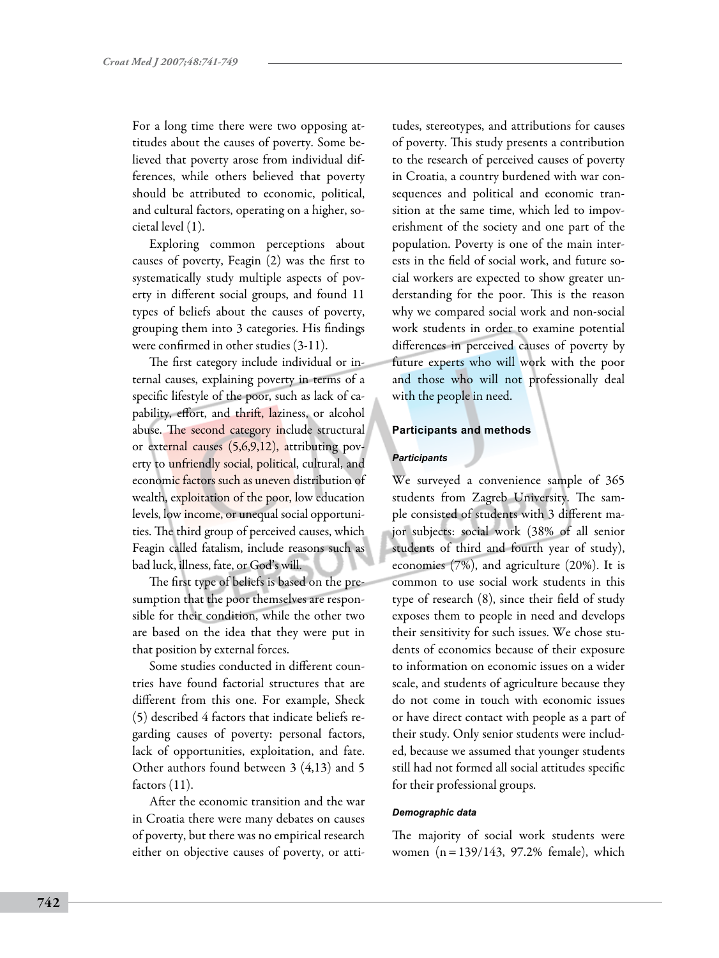For a long time there were two opposing attitudes about the causes of poverty. Some believed that poverty arose from individual differences, while others believed that poverty should be attributed to economic, political, and cultural factors, operating on a higher, societal level (1).

Exploring common perceptions about causes of poverty, Feagin (2) was the first to systematically study multiple aspects of poverty in different social groups, and found 11 types of beliefs about the causes of poverty, grouping them into 3 categories. His findings were confirmed in other studies (3-11).

The first category include individual or internal causes, explaining poverty in terms of a specific lifestyle of the poor, such as lack of capability, effort, and thrift, laziness, or alcohol abuse. The second category include structural or external causes (5,6,9,12), attributing poverty to unfriendly social, political, cultural, and economic factors such as uneven distribution of wealth, exploitation of the poor, low education levels, low income, or unequal social opportunities. The third group of perceived causes, which Feagin called fatalism, include reasons such as bad luck, illness, fate, or God's will.

The first type of beliefs is based on the presumption that the poor themselves are responsible for their condition, while the other two are based on the idea that they were put in that position by external forces.

Some studies conducted in different countries have found factorial structures that are different from this one. For example, Sheck (5) described 4 factors that indicate beliefs regarding causes of poverty: personal factors, lack of opportunities, exploitation, and fate. Other authors found between 3 (4,13) and 5 factors (11).

After the economic transition and the war in Croatia there were many debates on causes of poverty, but there was no empirical research either on objective causes of poverty, or attitudes, stereotypes, and attributions for causes of poverty. This study presents a contribution to the research of perceived causes of poverty in Croatia, a country burdened with war consequences and political and economic transition at the same time, which led to impoverishment of the society and one part of the population. Poverty is one of the main interests in the field of social work, and future social workers are expected to show greater understanding for the poor. This is the reason why we compared social work and non-social work students in order to examine potential differences in perceived causes of poverty by future experts who will work with the poor and those who will not professionally deal with the people in need.

# **Participants and methods**

## *Participants*

We surveyed a convenience sample of 365 students from Zagreb University. The sample consisted of students with 3 different major subjects: social work (38% of all senior students of third and fourth year of study), economics (7%), and agriculture (20%). It is common to use social work students in this type of research (8), since their field of study exposes them to people in need and develops their sensitivity for such issues. We chose students of economics because of their exposure to information on economic issues on a wider scale, and students of agriculture because they do not come in touch with economic issues or have direct contact with people as a part of their study. Only senior students were included, because we assumed that younger students still had not formed all social attitudes specific for their professional groups.

#### *Demographic data*

The majority of social work students were women (n=139/143, 97.2% female), which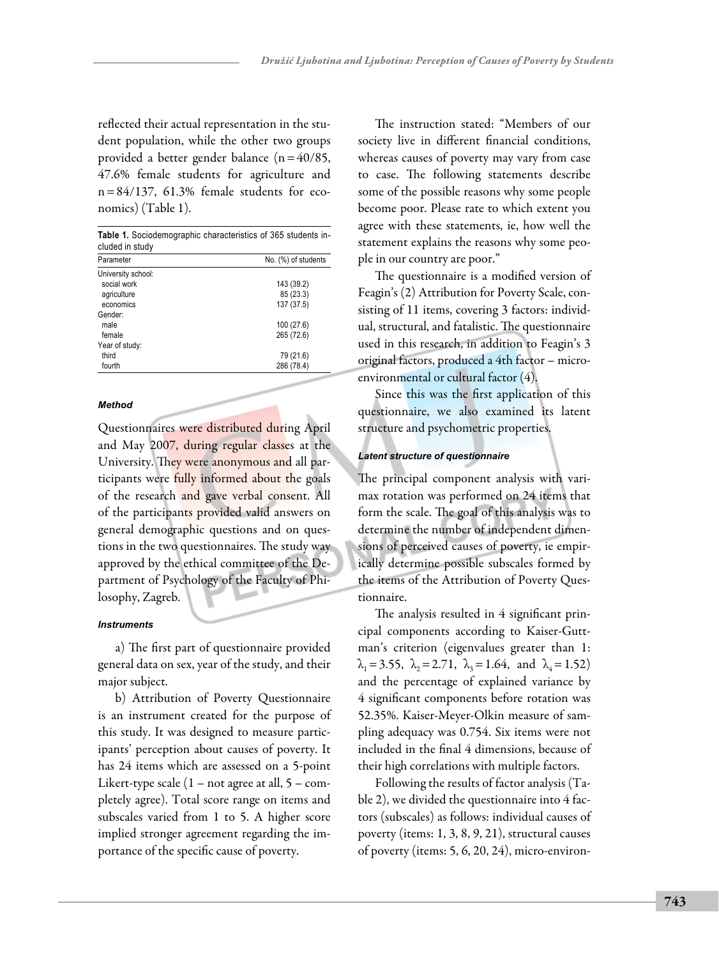reflected their actual representation in the student population, while the other two groups provided a better gender balance (n=40/85, 47.6% female students for agriculture and  $n=84/137$ , 61.3% female students for economics) (Table 1).

| <b>Table 1.</b> Sociodemographic characteristics of 365 students in-<br>cluded in study |                     |  |  |  |  |
|-----------------------------------------------------------------------------------------|---------------------|--|--|--|--|
| Parameter                                                                               | No. (%) of students |  |  |  |  |
| University school:                                                                      |                     |  |  |  |  |
| social work                                                                             | 143 (39.2)          |  |  |  |  |
| agriculture                                                                             | 85 (23.3)           |  |  |  |  |
| economics                                                                               | 137 (37.5)          |  |  |  |  |
| Gender:                                                                                 |                     |  |  |  |  |
| male                                                                                    | 100 (27.6)          |  |  |  |  |
| female                                                                                  | 265 (72.6)          |  |  |  |  |
| Year of study:                                                                          |                     |  |  |  |  |
| third                                                                                   | 79 (21.6)           |  |  |  |  |
| fourth                                                                                  | 286 (78.4)          |  |  |  |  |

### *Method*

Questionnaires were distributed during April and May 2007, during regular classes at the University. They were anonymous and all participants were fully informed about the goals of the research and gave verbal consent. All of the participants provided valid answers on general demographic questions and on questions in the two questionnaires. The study way approved by the ethical committee of the Department of Psychology of the Faculty of Philosophy, Zagreb.

## *Instruments*

a) The first part of questionnaire provided general data on sex, year of the study, and their major subject.

b) Attribution of Poverty Questionnaire is an instrument created for the purpose of this study. It was designed to measure participants' perception about causes of poverty. It has 24 items which are assessed on a 5-point Likert-type scale  $(1 - not agree at all, 5 - com$ pletely agree). Total score range on items and subscales varied from 1 to 5. A higher score implied stronger agreement regarding the importance of the specific cause of poverty.

The instruction stated: "Members of our society live in different financial conditions, whereas causes of poverty may vary from case to case. The following statements describe some of the possible reasons why some people become poor. Please rate to which extent you agree with these statements, ie, how well the statement explains the reasons why some people in our country are poor."

The questionnaire is a modified version of Feagin's (2) Attribution for Poverty Scale, consisting of 11 items, covering 3 factors: individual, structural, and fatalistic. The questionnaire used in this research, in addition to Feagin's 3 original factors, produced a 4th factor – microenvironmental or cultural factor (4).

Since this was the first application of this questionnaire, we also examined its latent structure and psychometric properties.

### *Latent structure of questionnaire*

The principal component analysis with varimax rotation was performed on 24 items that form the scale. The goal of this analysis was to determine the number of independent dimensions of perceived causes of poverty, ie empirically determine possible subscales formed by the items of the Attribution of Poverty Questionnaire.

The analysis resulted in 4 significant principal components according to Kaiser-Guttman's criterion (eigenvalues greater than 1:  $\lambda_1 = 3.55$ ,  $\lambda_2 = 2.71$ ,  $\lambda_3 = 1.64$ , and  $\lambda_4 = 1.52$ ) and the percentage of explained variance by 4 significant components before rotation was 52.35%. Kaiser-Meyer-Olkin measure of sampling adequacy was 0.754. Six items were not included in the final 4 dimensions, because of their high correlations with multiple factors.

Following the results of factor analysis (Table 2), we divided the questionnaire into 4 factors (subscales) as follows: individual causes of poverty (items: 1, 3, 8, 9, 21), structural causes of poverty (items: 5, 6, 20, 24), micro-environ-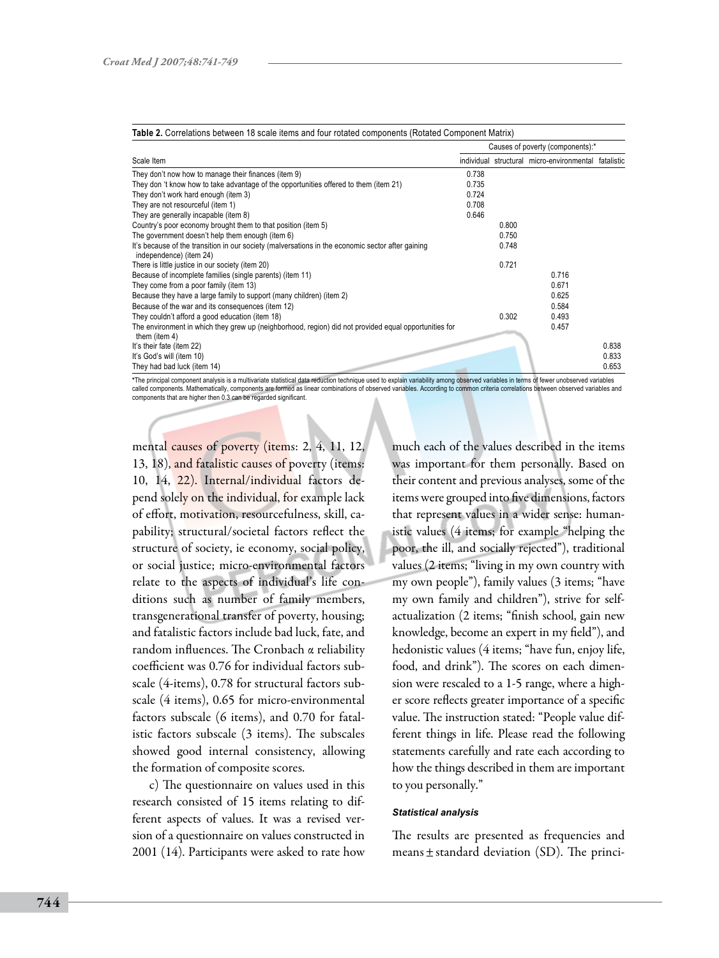|                                                                                                                              |       | Causes of poverty (components):* |                                                      |       |  |
|------------------------------------------------------------------------------------------------------------------------------|-------|----------------------------------|------------------------------------------------------|-------|--|
| Scale Item                                                                                                                   |       |                                  | individual structural micro-environmental fatalistic |       |  |
| They don't now how to manage their finances (item 9)                                                                         | 0.738 |                                  |                                                      |       |  |
| They don 't know how to take advantage of the opportunities offered to them (item 21)                                        | 0.735 |                                  |                                                      |       |  |
| They don't work hard enough (item 3)                                                                                         | 0.724 |                                  |                                                      |       |  |
| They are not resourceful (item 1)                                                                                            | 0.708 |                                  |                                                      |       |  |
| They are generally incapable (item 8)                                                                                        | 0.646 |                                  |                                                      |       |  |
| Country's poor economy brought them to that position (item 5)                                                                |       | 0.800                            |                                                      |       |  |
| The government doesn't help them enough (item 6)                                                                             |       | 0.750                            |                                                      |       |  |
| It's because of the transition in our society (malversations in the economic sector after gaining<br>independence) (item 24) |       | 0.748                            |                                                      |       |  |
| There is little justice in our society (item 20)                                                                             |       | 0.721                            |                                                      |       |  |
| Because of incomplete families (single parents) (item 11)                                                                    |       |                                  | 0.716                                                |       |  |
| They come from a poor family (item 13)                                                                                       |       |                                  | 0.671                                                |       |  |
| Because they have a large family to support (many children) (item 2)                                                         |       |                                  | 0.625                                                |       |  |
| Because of the war and its consequences (item 12)                                                                            |       |                                  | 0.584                                                |       |  |
| They couldn't afford a good education (item 18)                                                                              |       | 0.302                            | 0.493                                                |       |  |
| The environment in which they grew up (neighborhood, region) did not provided equal opportunities for<br>them (item 4)       |       |                                  | 0.457                                                |       |  |
| It's their fate (item 22)                                                                                                    |       |                                  |                                                      | 0.838 |  |
| It's God's will (item 10)                                                                                                    |       |                                  |                                                      | 0.833 |  |
| They had bad luck (item 14)                                                                                                  |       |                                  |                                                      | 0.653 |  |

**\***The principal component analysis is a multivariate statistical data reduction technique used to explain variability among observed variables in terms of fewer unobserved variables called components. Mathematically, components are formed as linear combinations of observed variables. According to common criteria correlations between observed variables and components that are higher then 0.3 can be regarded significant.

mental causes of poverty (items: 2, 4, 11, 12, 13, 18), and fatalistic causes of poverty (items: 10, 14, 22). Internal/individual factors depend solely on the individual, for example lack of effort, motivation, resourcefulness, skill, capability; structural/societal factors reflect the structure of society, ie economy, social policy, or social justice; micro-environmental factors relate to the aspects of individual's life conditions such as number of family members, transgenerational transfer of poverty, housing; and fatalistic factors include bad luck, fate, and random influences. The Cronbach α reliability coefficient was 0.76 for individual factors subscale (4-items), 0.78 for structural factors subscale (4 items), 0.65 for micro-environmental factors subscale (6 items), and 0.70 for fatalistic factors subscale (3 items). The subscales showed good internal consistency, allowing the formation of composite scores.

c) The questionnaire on values used in this research consisted of 15 items relating to different aspects of values. It was a revised version of a questionnaire on values constructed in 2001 (14). Participants were asked to rate how

much each of the values described in the items was important for them personally. Based on their content and previous analyses, some of the items were grouped into five dimensions, factors that represent values in a wider sense: humanistic values (4 items; for example "helping the poor, the ill, and socially rejected"), traditional values (2 items; "living in my own country with my own people"), family values (3 items; "have my own family and children"), strive for selfactualization (2 items; "finish school, gain new knowledge, become an expert in my field"), and hedonistic values (4 items; "have fun, enjoy life, food, and drink"). The scores on each dimension were rescaled to a 1-5 range, where a higher score reflects greater importance of a specific value. The instruction stated: "People value different things in life. Please read the following statements carefully and rate each according to how the things described in them are important to you personally."

#### *Statistical analysis*

The results are presented as frequencies and means  $\pm$  standard deviation (SD). The princi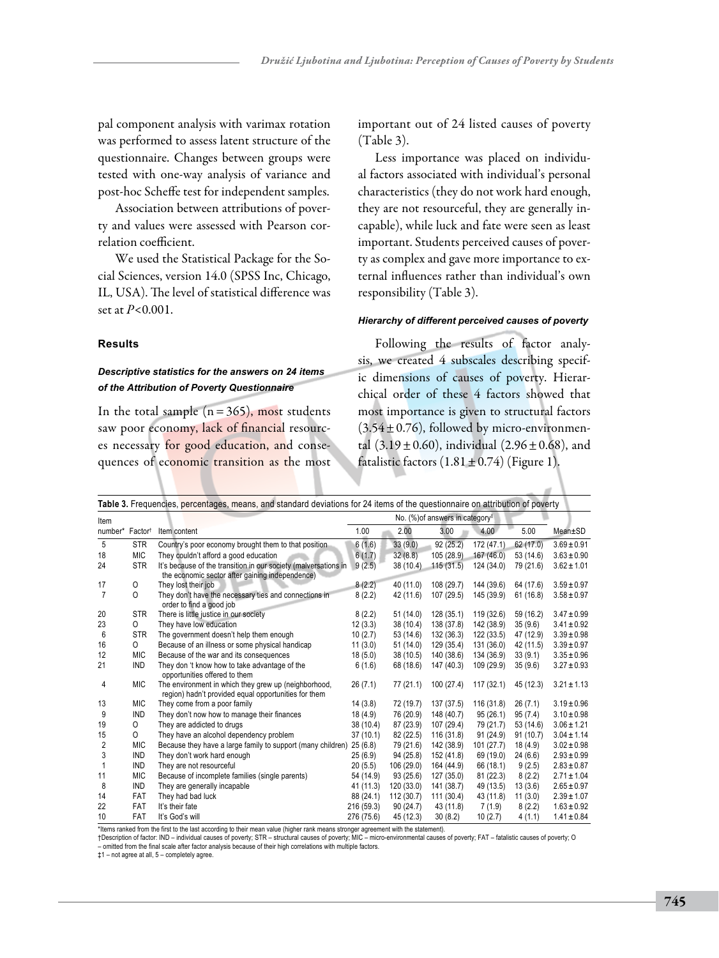pal component analysis with varimax rotation was performed to assess latent structure of the questionnaire. Changes between groups were tested with one-way analysis of variance and post-hoc Scheffe test for independent samples.

Association between attributions of poverty and values were assessed with Pearson correlation coefficient.

We used the Statistical Package for the Social Sciences, version 14.0 (SPSS Inc, Chicago, IL, USA). The level of statistical difference was set at *P*<0.001.

### **Results**

# *Descriptive statistics for the answers on 24 items of the Attribution of Poverty Questionnaire*

In the total sample  $(n=365)$ , most students saw poor economy, lack of financial resources necessary for good education, and consequences of economic transition as the most important out of 24 listed causes of poverty (Table 3).

Less importance was placed on individual factors associated with individual's personal characteristics (they do not work hard enough, they are not resourceful, they are generally incapable), while luck and fate were seen as least important. Students perceived causes of poverty as complex and gave more importance to external influences rather than individual's own responsibility (Table 3).

# *Hierarchy of different perceived causes of poverty*

Following the results of factor analysis, we created 4 subscales describing specific dimensions of causes of poverty. Hierarchical order of these 4 factors showed that most importance is given to structural factors  $(3.54 \pm 0.76)$ , followed by micro-environmental  $(3.19 \pm 0.60)$ , individual  $(2.96 \pm 0.68)$ , and fatalistic factors  $(1.81 \pm 0.74)$  (Figure 1).

|                |                             | Table 3. Frequencies, percentages, means, and standard deviations for 24 items of the questionnaire on attribution of poverty |                                             |            |            |            |           |                 |
|----------------|-----------------------------|-------------------------------------------------------------------------------------------------------------------------------|---------------------------------------------|------------|------------|------------|-----------|-----------------|
| Item           |                             |                                                                                                                               | No. (%) of answers in category <sup>‡</sup> |            |            |            |           |                 |
|                | number* Factor <sup>†</sup> | Item content                                                                                                                  | 1.00                                        | 2.00       | 3.00       | 4.00       | 5.00      | Mean±SD         |
| 5              | <b>STR</b>                  | Country's poor economy brought them to that position                                                                          | 6(1.6)                                      | 33(9.0)    | 92(25.2)   | 172 (47.1) | 62 (17.0) | $3.69 \pm 0.91$ |
| 18             | <b>MIC</b>                  | They couldn't afford a good education                                                                                         | 6(1.7)                                      | 32(8.8)    | 105 (28.9) | 167 (46.0) | 53 (14.6) | $3.63 \pm 0.90$ |
| 24             | <b>STR</b>                  | It's because of the transition in our society (malversations in<br>the economic sector after gaining independence)            | 9(2.5)                                      | 38 (10.4)  | 115(31.5)  | 124 (34.0) | 79 (21.6) | $3.62 \pm 1.01$ |
| 17             | 0                           | They lost their job                                                                                                           | 8(2.2)                                      | 40 (11.0)  | 108 (29.7) | 144 (39.6) | 64 (17.6) | $3.59 \pm 0.97$ |
| $\overline{7}$ | $\Omega$                    | They don't have the necessary ties and connections in<br>order to find a good job                                             | 8(2.2)                                      | 42 (11.6)  | 107 (29.5) | 145 (39.9) | 61(16.8)  | $3.58 \pm 0.97$ |
| 20             | <b>STR</b>                  | There is little justice in our society                                                                                        | 8(2.2)                                      | 51(14.0)   | 128 (35.1) | 119 (32.6) | 59 (16.2) | $3.47 \pm 0.99$ |
| 23             | 0                           | They have low education                                                                                                       | 12(3.3)                                     | 38 (10.4)  | 138 (37.8) | 142 (38.9) | 35(9.6)   | $3.41 \pm 0.92$ |
| 6              | <b>STR</b>                  | The government doesn't help them enough                                                                                       | 10(2.7)                                     | 53 (14.6)  | 132 (36.3) | 122(33.5)  | 47 (12.9) | $3.39 \pm 0.98$ |
| 16             | 0                           | Because of an illness or some physical handicap                                                                               | 11(3.0)                                     | 51(14.0)   | 129 (35.4) | 131 (36.0) | 42 (11.5) | $3.39 \pm 0.97$ |
| 12             | <b>MIC</b>                  | Because of the war and its consequences                                                                                       | 18(5.0)                                     | 38 (10.5)  | 140 (38.6) | 134 (36.9) | 33(9.1)   | $3.35 \pm 0.96$ |
| 21             | <b>IND</b>                  | They don 't know how to take advantage of the<br>opportunities offered to them                                                | 6(1.6)                                      | 68 (18.6)  | 147 (40.3) | 109 (29.9) | 35(9.6)   | $3.27 \pm 0.93$ |
| 4              | <b>MIC</b>                  | The environment in which they grew up (neighborhood,<br>region) hadn't provided equal opportunities for them                  | 26(7.1)                                     | 77 (21.1)  | 100(27.4)  | 117(32.1)  | 45 (12.3) | $3.21 \pm 1.13$ |
| 13             | <b>MIC</b>                  | They come from a poor family                                                                                                  | 14(3.8)                                     | 72 (19.7)  | 137 (37.5) | 116 (31.8) | 26(7.1)   | $3.19 \pm 0.96$ |
| 9              | <b>IND</b>                  | They don't now how to manage their finances                                                                                   | 18(4.9)                                     | 76 (20.9)  | 148 (40.7) | 95 (26.1)  | 95(7.4)   | $3.10 \pm 0.98$ |
| 19             | 0                           | They are addicted to drugs                                                                                                    | 38 (10.4)                                   | 87 (23.9)  | 107 (29.4) | 79 (21.7)  | 53 (14.6) | $3.06 \pm 1.21$ |
| 15             | 0                           | They have an alcohol dependency problem                                                                                       | 37(10.1)                                    | 82 (22.5)  | 116 (31.8) | 91(24.9)   | 91(10.7)  | $3.04 \pm 1.14$ |
| 2              | <b>MIC</b>                  | Because they have a large family to support (many children)                                                                   | 25(6.8)                                     | 79 (21.6)  | 142 (38.9) | 101(27.7)  | 18 (4.9)  | $3.02 \pm 0.98$ |
| 3              | <b>IND</b>                  | They don't work hard enough                                                                                                   | 25(6.9)                                     | 94 (25.8)  | 152 (41.8) | 69 (19.0)  | 24(6.6)   | $2.93 \pm 0.99$ |
| 1              | <b>IND</b>                  | They are not resourceful                                                                                                      | 20(5.5)                                     | 106(29.0)  | 164 (44.9) | 66 (18.1)  | 9(2.5)    | $2.83 \pm 0.87$ |
| 11             | <b>MIC</b>                  | Because of incomplete families (single parents)                                                                               | 54 (14.9)                                   | 93(25.6)   | 127(35.0)  | 81 (22.3)  | 8(2.2)    | $2.71 \pm 1.04$ |
| 8              | <b>IND</b>                  | They are generally incapable                                                                                                  | 41 (11.3)                                   | 120(33.0)  | 141 (38.7) | 49 (13.5)  | 13(3.6)   | $2.65 \pm 0.97$ |
| 14             | FAT                         | They had bad luck                                                                                                             | 88 (24.1)                                   | 112 (30.7) | 111 (30.4) | 43 (11.8)  | 11(3.0)   | $2.39 \pm 1.07$ |
| 22             | FAT                         | It's their fate                                                                                                               | 216 (59.3)                                  | 90(24.7)   | 43 (11.8)  | 7(1.9)     | 8(2.2)    | $1.63 \pm 0.92$ |
| 10             | FAT                         | It's God's will                                                                                                               | 276 (75.6)                                  | 45 (12.3)  | 30(8.2)    | 10(2.7)    | 4(1.1)    | $1.41 \pm 0.84$ |

\*Items ranked from the first to the last according to their mean value (higher rank means stronger agreement with the statement).<br>†Description of factor: IND – individual causes of poverty; STR – structural causes of pover

‡1 – not agree at all, 5 – completely agree.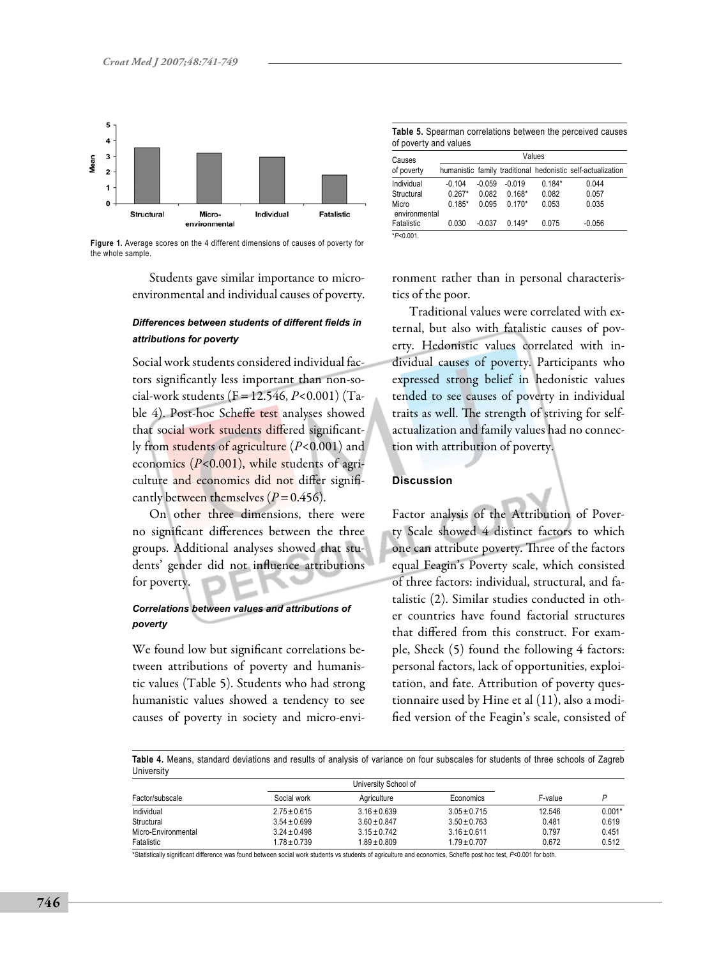

**Figure 1.** Average scores on the 4 different dimensions of causes of poverty for the whole sample.

Students gave similar importance to microenvironmental and individual causes of poverty.

# *Differences between students of different fields in attributions for poverty*

Social work students considered individual factors significantly less important than non-social-work students (F=12.546, *P*<0.001) (Table 4). Post-hoc Scheffe test analyses showed that social work students differed significantly from students of agriculture (*P*<0.001) and economics (*P*<0.001), while students of agriculture and economics did not differ significantly between themselves  $(P=0.456)$ .

On other three dimensions, there were no significant differences between the three groups. Additional analyses showed that students' gender did not influence attributions for poverty.

# *Correlations between values and attributions of poverty*

We found low but significant correlations between attributions of poverty and humanistic values (Table 5). Students who had strong humanistic values showed a tendency to see causes of poverty in society and micro-envi-

**Table 5.** Spearman correlations between the perceived causes of poverty and values

| Causes                 | Values   |          |          |          |                                                             |
|------------------------|----------|----------|----------|----------|-------------------------------------------------------------|
| of poverty             |          |          |          |          | humanistic family traditional hedonistic self-actualization |
| Individual             | $-0.104$ | $-0.059$ | $-0.019$ | $0.184*$ | 0.044                                                       |
| Structural             | $0.267*$ | 0.082    | $0.168*$ | 0.082    | 0.057                                                       |
| Micro<br>environmental | $0.185*$ | 0.095    | $0.170*$ | 0.053    | 0.035                                                       |
| Fatalistic             | 0.030    | $-0.037$ | $0.149*$ | 0.075    | $-0.056$                                                    |
| $*P<0.001$             |          |          |          |          |                                                             |

ronment rather than in personal characteristics of the poor.

Traditional values were correlated with external, but also with fatalistic causes of poverty. Hedonistic values correlated with individual causes of poverty. Participants who expressed strong belief in hedonistic values tended to see causes of poverty in individual traits as well. The strength of striving for selfactualization and family values had no connection with attribution of poverty.

## **Discussion**

Factor analysis of the Attribution of Poverty Scale showed 4 distinct factors to which one can attribute poverty. Three of the factors equal Feagin's Poverty scale, which consisted of three factors: individual, structural, and fatalistic (2). Similar studies conducted in other countries have found factorial structures that differed from this construct. For example, Sheck (5) found the following 4 factors: personal factors, lack of opportunities, exploitation, and fate. Attribution of poverty questionnaire used by Hine et al (11), also a modified version of the Feagin's scale, consisted of

**Table 4.** Means, standard deviations and results of analysis of variance on four subscales for students of three schools of Zagreb **University** 

| Factor/subscale                                       | Social work      | Agriculture      | Economics        | F-value |          |
|-------------------------------------------------------|------------------|------------------|------------------|---------|----------|
| Individual                                            | $2.75 \pm 0.615$ | $3.16 \pm 0.639$ | $3.05 \pm 0.715$ | 12.546  | $0.001*$ |
| Structural                                            | $3.54 \pm 0.699$ | $3.60 \pm 0.847$ | $3.50 \pm 0.763$ | 0.481   | 0.619    |
| Micro-Environmental                                   | $3.24 \pm 0.498$ | $3.15 \pm 0.742$ | $3.16 \pm 0.611$ | 0.797   | 0.451    |
| Fatalistic                                            | $1.78 \pm 0.739$ | $1.89 \pm 0.809$ | $1.79 \pm 0.707$ | 0.672   | 0.512    |
| $-1.45 - 1.1 - 1.1 - 1.1 - 1.1 - 1.1$<br><br>$\cdots$ | .                | .                |                  |         |          |

Ily significant difference was found between social work students vs students of agriculture and economics, Scheffe post hoc test, *P<0.001* for both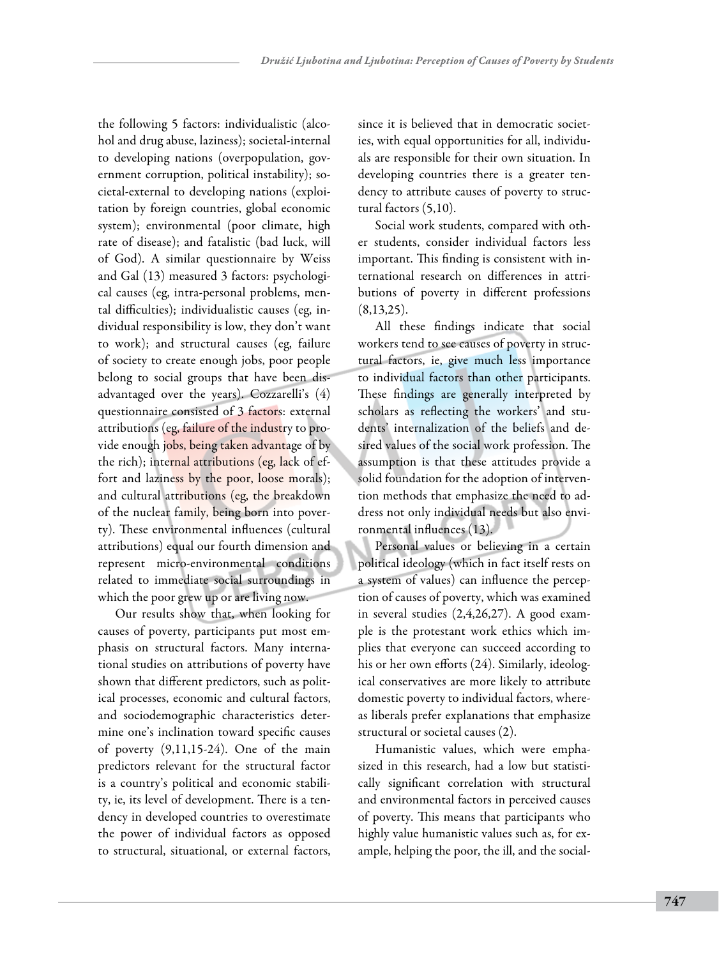the following 5 factors: individualistic (alcohol and drug abuse, laziness); societal-internal to developing nations (overpopulation, government corruption, political instability); societal-external to developing nations (exploitation by foreign countries, global economic system); environmental (poor climate, high rate of disease); and fatalistic (bad luck, will of God). A similar questionnaire by Weiss and Gal (13) measured 3 factors: psychological causes (eg, intra-personal problems, mental difficulties); individualistic causes (eg, individual responsibility is low, they don't want to work); and structural causes (eg, failure of society to create enough jobs, poor people belong to social groups that have been disadvantaged over the years). Cozzarelli's (4) questionnaire consisted of 3 factors: external attributions (eg, failure of the industry to provide enough jobs, being taken advantage of by the rich); internal attributions (eg, lack of effort and laziness by the poor, loose morals); and cultural attributions (eg, the breakdown of the nuclear family, being born into poverty). These environmental influences (cultural attributions) equal our fourth dimension and represent micro-environmental conditions related to immediate social surroundings in which the poor grew up or are living now.

Our results show that, when looking for causes of poverty, participants put most emphasis on structural factors. Many international studies on attributions of poverty have shown that different predictors, such as political processes, economic and cultural factors, and sociodemographic characteristics determine one's inclination toward specific causes of poverty (9,11,15-24). One of the main predictors relevant for the structural factor is a country's political and economic stability, ie, its level of development. There is a tendency in developed countries to overestimate the power of individual factors as opposed to structural, situational, or external factors,

since it is believed that in democratic societies, with equal opportunities for all, individuals are responsible for their own situation. In developing countries there is a greater tendency to attribute causes of poverty to structural factors (5,10).

Social work students, compared with other students, consider individual factors less important. This finding is consistent with international research on differences in attributions of poverty in different professions  $(8,13,25)$ .

All these findings indicate that social workers tend to see causes of poverty in structural factors, ie, give much less importance to individual factors than other participants. These findings are generally interpreted by scholars as reflecting the workers' and students' internalization of the beliefs and desired values of the social work profession. The assumption is that these attitudes provide a solid foundation for the adoption of intervention methods that emphasize the need to address not only individual needs but also environmental influences (13).

Personal values or believing in a certain political ideology (which in fact itself rests on a system of values) can influence the perception of causes of poverty, which was examined in several studies (2,4,26,27). A good example is the protestant work ethics which implies that everyone can succeed according to his or her own efforts (24). Similarly, ideological conservatives are more likely to attribute domestic poverty to individual factors, whereas liberals prefer explanations that emphasize structural or societal causes (2).

Humanistic values, which were emphasized in this research, had a low but statistically significant correlation with structural and environmental factors in perceived causes of poverty. This means that participants who highly value humanistic values such as, for example, helping the poor, the ill, and the social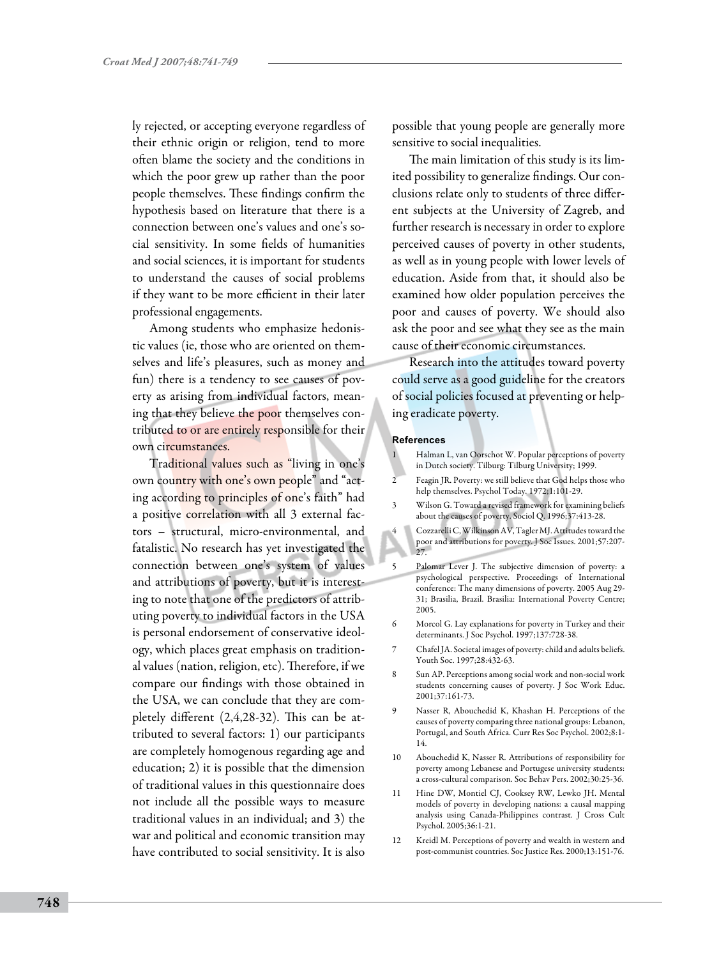ly rejected, or accepting everyone regardless of their ethnic origin or religion, tend to more often blame the society and the conditions in which the poor grew up rather than the poor people themselves. These findings confirm the hypothesis based on literature that there is a connection between one's values and one's social sensitivity. In some fields of humanities and social sciences, it is important for students to understand the causes of social problems if they want to be more efficient in their later professional engagements.

Among students who emphasize hedonistic values (ie, those who are oriented on themselves and life's pleasures, such as money and fun) there is a tendency to see causes of poverty as arising from individual factors, meaning that they believe the poor themselves contributed to or are entirely responsible for their own circumstances.

Traditional values such as "living in one's own country with one's own people" and "acting according to principles of one's faith" had a positive correlation with all 3 external factors – structural, micro-environmental, and fatalistic. No research has yet investigated the connection between one's system of values and attributions of poverty, but it is interesting to note that one of the predictors of attributing poverty to individual factors in the USA is personal endorsement of conservative ideology, which places great emphasis on traditional values (nation, religion, etc). Therefore, if we compare our findings with those obtained in the USA, we can conclude that they are completely different (2,4,28-32). This can be attributed to several factors: 1) our participants are completely homogenous regarding age and education; 2) it is possible that the dimension of traditional values in this questionnaire does not include all the possible ways to measure traditional values in an individual; and 3) the war and political and economic transition may have contributed to social sensitivity. It is also

possible that young people are generally more sensitive to social inequalities.

The main limitation of this study is its limited possibility to generalize findings. Our conclusions relate only to students of three different subjects at the University of Zagreb, and further research is necessary in order to explore perceived causes of poverty in other students, as well as in young people with lower levels of education. Aside from that, it should also be examined how older population perceives the poor and causes of poverty. We should also ask the poor and see what they see as the main cause of their economic circumstances.

Research into the attitudes toward poverty could serve as a good guideline for the creators of social policies focused at preventing or helping eradicate poverty.

#### **References**

- 1 Halman L, van Oorschot W. Popular perceptions of poverty in Dutch society. Tilburg: Tilburg University; 1999.
- 2 Feagin JR. Poverty: we still believe that God helps those who help themselves. Psychol Today. 1972;1:101-29.
- 3 Wilson G. Toward a revised framework for examining beliefs about the causes of poverty. Sociol Q. 1996;37:413-28.
- 4 Cozzarelli C, Wilkinson AV, Tagler MJ. Attitudes toward the poor and attributions for poverty. J Soc Issues. 2001;57:207- 27.
- 5 Palomar Lever J. The subjective dimension of poverty: a psychological perspective. Proceedings of International conference: The many dimensions of poverty. 2005 Aug 29- 31; Brasilia, Brazil. Brasilia: International Poverty Centre; 2005.
- 6 Morcol G. Lay explanations for poverty in Turkey and their determinants. J Soc Psychol. 1997;137:728-38.
- Chafel JA. Societal images of poverty: child and adults beliefs. Youth Soc. 1997;28:432-63.
- 8 Sun AP. Perceptions among social work and non-social work students concerning causes of poverty. J Soc Work Educ. 2001;37:161-73.
- 9 Nasser R, Abouchedid K, Khashan H. Perceptions of the causes of poverty comparing three national groups: Lebanon, Portugal, and South Africa. Curr Res Soc Psychol. 2002;8:1- 14.
- 10 Abouchedid K, Nasser R. Attributions of responsibility for poverty among Lebanese and Portugese university students: a cross-cultural comparison. Soc Behav Pers. 2002;30:25-36.
- 11 Hine DW, Montiel CJ, Cooksey RW, Lewko JH. Mental models of poverty in developing nations: a causal mapping analysis using Canada-Philippines contrast. J Cross Cult Psychol. 2005;36:1-21.
- Kreidl M. Perceptions of poverty and wealth in western and post-communist countries. Soc Justice Res. 2000;13:151-76.